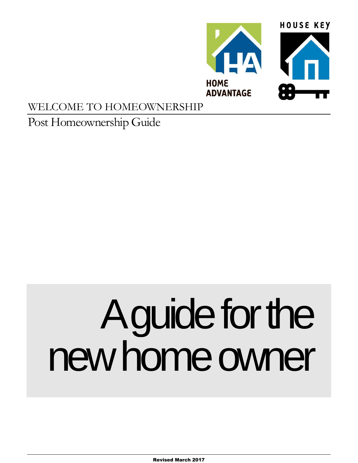

# WELCOME TO HOMEOWNERSHIP

# Post Homeownership Guide

# A guide for the new home owner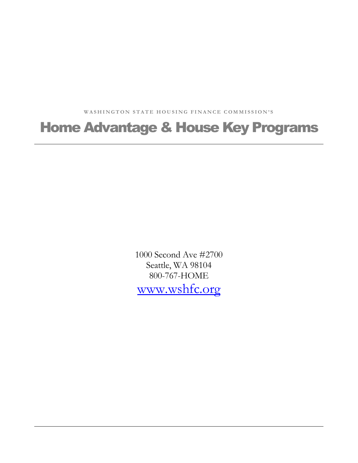WASHINGTON STATE HOUSING FINANCE COMMISSION'S

# Home Advantage & House Key Programs

1000 Second Ave #2700 Seattle, WA 98104 800-767-HOME [www.wshfc.org](http://www.wshfc.org/)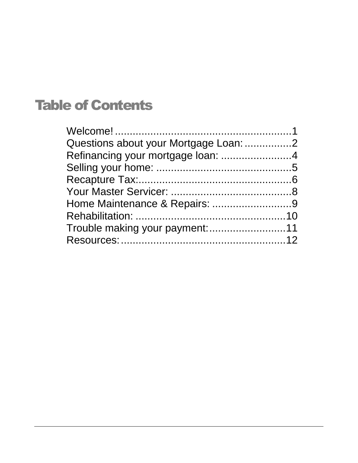# Table of Contents

| Refinancing your mortgage loan: 4 |  |
|-----------------------------------|--|
|                                   |  |
|                                   |  |
|                                   |  |
|                                   |  |
|                                   |  |
|                                   |  |
|                                   |  |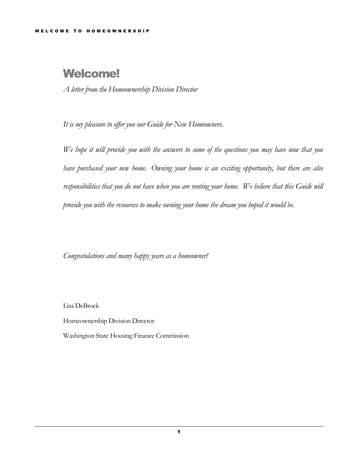# <span id="page-3-0"></span>Welcome!

*A letter from the Homeownership Division Director*

*It is my pleasure to offer you our Guide for New Homeowners.*

*We hope it will provide you with the answers to some of the questions you may have now that you have purchased your new home. Owning your home is an exciting opportunity, but there are also responsibilities that you do not have when you are renting your home. We believe that this Guide will provide you with the resources to make owning your home the dream you hoped it would be.*

*Congratulations and many happy years as a homeowner!*

Lisa DeBrock

Homeownership Division Director

Washington State Housing Finance Commission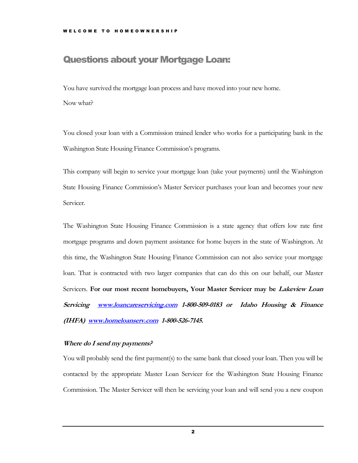#### <span id="page-4-0"></span>Questions about your Mortgage Loan:

You have survived the mortgage loan process and have moved into your new home. Now what?

You closed your loan with a Commission trained lender who works for a participating bank in the Washington State Housing Finance Commission's programs.

This company will begin to service your mortgage loan (take your payments) until the Washington State Housing Finance Commission's Master Servicer purchases your loan and becomes your new Servicer.

The Washington State Housing Finance Commission is a state agency that offers low rate first mortgage programs and down payment assistance for home buyers in the state of Washington. At this time, the Washington State Housing Finance Commission can not also service your mortgage loan. That is contracted with two larger companies that can do this on our behalf, our Master Servicers. **For our most recent homebuyers, Your Master Servicer may be Lakeview Loan Servicing [www.loancareservicing.com](http://www.loancareservicing.com/) 1-800-509-0183 or Idaho Housing & Finance (IHFA) [www.homeloanserv.com](http://www.homeloanserv.com/) 1-800-526-7145.**

#### **Where do I send my payments?**

You will probably send the first payment(s) to the same bank that closed your loan. Then you will be contacted by the appropriate Master Loan Servicer for the Washington State Housing Finance Commission. The Master Servicer will then be servicing your loan and will send you a new coupon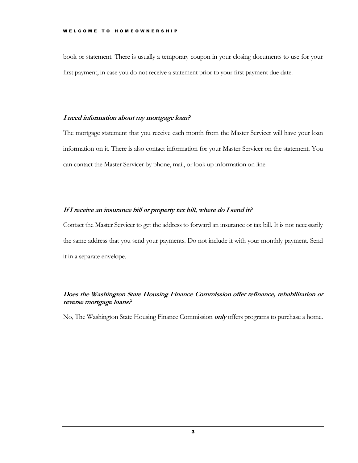book or statement. There is usually a temporary coupon in your closing documents to use for your first payment, in case you do not receive a statement prior to your first payment due date.

#### **I need information about my mortgage loan?**

The mortgage statement that you receive each month from the Master Servicer will have your loan information on it. There is also contact information for your Master Servicer on the statement. You can contact the Master Servicer by phone, mail, or look up information on line.

#### **If I receive an insurance bill or property tax bill, where do I send it?**

Contact the Master Servicer to get the address to forward an insurance or tax bill. It is not necessarily the same address that you send your payments. Do not include it with your monthly payment. Send it in a separate envelope.

#### **Does the Washington State Housing Finance Commission offer refinance, rehabilitation or reverse mortgage loans?**

No, The Washington State Housing Finance Commission **only** offers programs to purchase a home.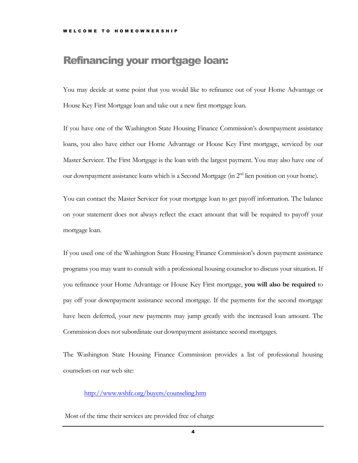## <span id="page-6-0"></span>Refinancing your mortgage loan:

You may decide at some point that you would like to refinance out of your Home Advantage or House Key First Mortgage loan and take out a new first mortgage loan.

If you have one of the Washington State Housing Finance Commission's downpayment assistance loans, you also have either our Home Advantage or House Key First mortgage, serviced by our Master Servicer. The First Mortgage is the loan with the largest payment. You may also have one of our downpayment assistance loans which is a Second Mortgage (in 2<sup>nd</sup> lien position on your home).

You can contact the Master Servicer for your mortgage loan to get payoff information. The balance on your statement does not always reflect the exact amount that will be required to payoff your mortgage loan.

If you used one of the Washington State Housing Finance Commission's down payment assistance programs you may want to consult with a professional housing counselor to discuss your situation. If you refinance your Home Advantage or House Key First mortgage, **you will also be required** to pay off your downpayment assistance second mortgage. If the payments for the second mortgage have been deferred, your new payments may jump greatly with the increased loan amount. The Commission does not subordinate our downpayment assistance second mortgages.

The Washington State Housing Finance Commission provides a list of professional housing counselors on our web site:

<http://www.wshfc.org/buyers/counseling.htm>

Most of the time their services are provided free of charge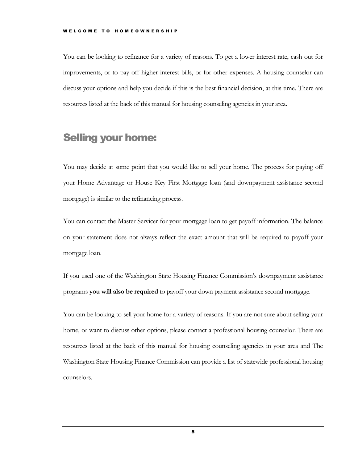You can be looking to refinance for a variety of reasons. To get a lower interest rate, cash out for improvements, or to pay off higher interest bills, or for other expenses. A housing counselor can discuss your options and help you decide if this is the best financial decision, at this time. There are resources listed at the back of this manual for housing counseling agencies in your area.

#### <span id="page-7-0"></span>Selling your home:

You may decide at some point that you would like to sell your home. The process for paying off your Home Advantage or House Key First Mortgage loan (and downpayment assistance second mortgage) is similar to the refinancing process.

You can contact the Master Servicer for your mortgage loan to get payoff information. The balance on your statement does not always reflect the exact amount that will be required to payoff your mortgage loan.

If you used one of the Washington State Housing Finance Commission's downpayment assistance programs **you will also be required** to payoff your down payment assistance second mortgage.

You can be looking to sell your home for a variety of reasons. If you are not sure about selling your home, or want to discuss other options, please contact a professional housing counselor. There are resources listed at the back of this manual for housing counseling agencies in your area and The Washington State Housing Finance Commission can provide a list of statewide professional housing counselors.

5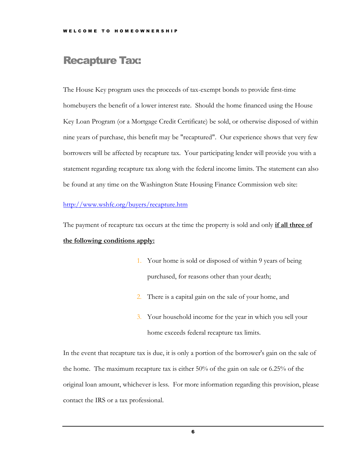## <span id="page-8-0"></span>Recapture Tax:

The House Key program uses the proceeds of tax-exempt bonds to provide first-time homebuyers the benefit of a lower interest rate. Should the home financed using the House Key Loan Program (or a Mortgage Credit Certificate) be sold, or otherwise disposed of within nine years of purchase, this benefit may be "recaptured". Our experience shows that very few borrowers will be affected by recapture tax. Your participating lender will provide you with a statement regarding recapture tax along with the federal income limits. The statement can also be found at any time on the Washington State Housing Finance Commission web site:

#### <http://www.wshfc.org/buyers/recapture.htm>

The payment of recapture tax occurs at the time the property is sold and only **if all three of the following conditions apply:**

- 1. Your home is sold or disposed of within 9 years of being purchased, for reasons other than your death;
- 2. There is a capital gain on the sale of your home, and
- 3. Your household income for the year in which you sell your home exceeds federal recapture tax limits.

In the event that recapture tax is due, it is only a portion of the borrower's gain on the sale of the home. The maximum recapture tax is either 50% of the gain on sale or 6.25% of the original loan amount, whichever is less. For more information regarding this provision, please contact the IRS or a tax professional.

6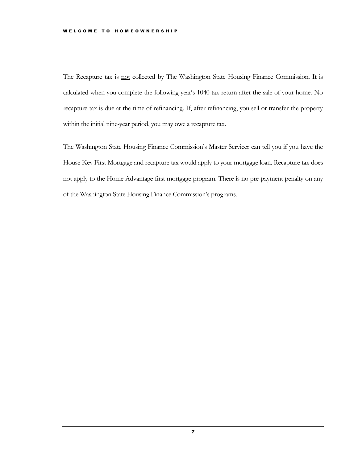The Recapture tax is not collected by The Washington State Housing Finance Commission. It is calculated when you complete the following year's 1040 tax return after the sale of your home. No recapture tax is due at the time of refinancing. If, after refinancing, you sell or transfer the property within the initial nine-year period, you may owe a recapture tax.

The Washington State Housing Finance Commission's Master Servicer can tell you if you have the House Key First Mortgage and recapture tax would apply to your mortgage loan. Recapture tax does not apply to the Home Advantage first mortgage program. There is no pre-payment penalty on any of the Washington State Housing Finance Commission's programs.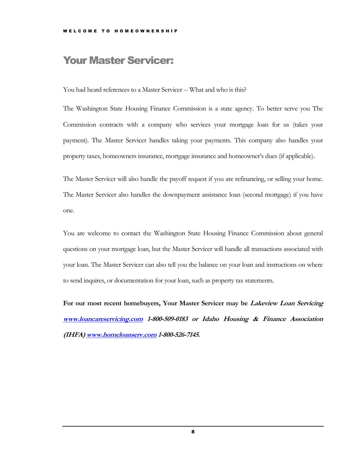## <span id="page-10-0"></span>Your Master Servicer:

You had heard references to a Master Servicer -- What and who is this?

The Washington State Housing Finance Commission is a state agency. To better serve you The Commission contracts with a company who services your mortgage loan for us (takes your payment). The Master Servicer handles taking your payments. This company also handles your property taxes, homeowners insurance, mortgage insurance and homeowner's dues (if applicable).

The Master Servicer will also handle the payoff request if you are refinancing, or selling your home. The Master Servicer also handles the downpayment assistance loan (second mortgage) if you have one.

You are welcome to contact the Washington State Housing Finance Commission about general questions on your mortgage loan, but the Master Servicer will handle all transactions associated with your loan. The Master Servicer can also tell you the balance on your loan and instructions on where to send inquires, or documentation for your loan, such as property tax statements.

**For our most recent homebuyers, Your Master Servicer may be Lakeview Loan Servicing [www.loancareservicing.com](http://www.loancareservicing.com/) 1-800-509-0183 or Idaho Housing & Finance Association (IHFA[\) www.homeloanserv.com](http://www.homeloanserv.com/) 1-800-526-7145.**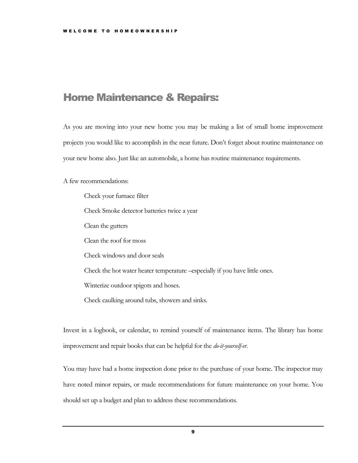## <span id="page-11-0"></span>Home Maintenance & Repairs:

As you are moving into your new home you may be making a list of small home improvement projects you would like to accomplish in the near future. Don't forget about routine maintenance on your new home also. Just like an automobile, a home has routine maintenance requirements.

A few recommendations:

Check your furnace filter Check Smoke detector batteries twice a year Clean the gutters Clean the roof for moss Check windows and door seals Check the hot water heater temperature –especially if you have little ones. Winterize outdoor spigots and hoses. Check caulking around tubs, showers and sinks.

Invest in a logbook, or calendar, to remind yourself of maintenance items. The library has home improvement and repair books that can be helpful for the *do-it-yourself-er*.

You may have had a home inspection done prior to the purchase of your home. The inspector may have noted minor repairs, or made recommendations for future maintenance on your home. You should set up a budget and plan to address these recommendations.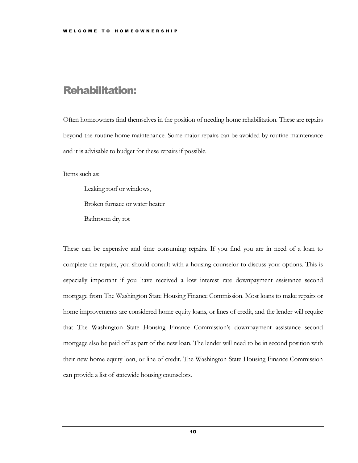## <span id="page-12-0"></span>Rehabilitation:

Often homeowners find themselves in the position of needing home rehabilitation. These are repairs beyond the routine home maintenance. Some major repairs can be avoided by routine maintenance and it is advisable to budget for these repairs if possible.

Items such as:

Leaking roof or windows, Broken furnace or water heater Bathroom dry rot

These can be expensive and time consuming repairs. If you find you are in need of a loan to complete the repairs, you should consult with a housing counselor to discuss your options. This is especially important if you have received a low interest rate downpayment assistance second mortgage from The Washington State Housing Finance Commission. Most loans to make repairs or home improvements are considered home equity loans, or lines of credit, and the lender will require that The Washington State Housing Finance Commission's downpayment assistance second mortgage also be paid off as part of the new loan. The lender will need to be in second position with their new home equity loan, or line of credit. The Washington State Housing Finance Commission can provide a list of statewide housing counselors.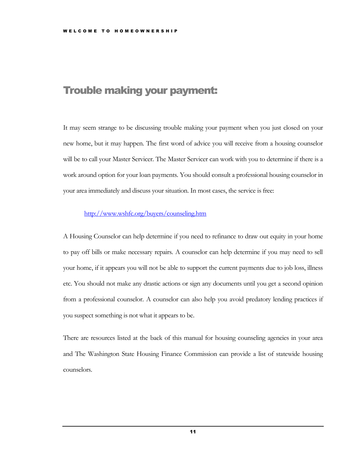## <span id="page-13-0"></span>Trouble making your payment:

It may seem strange to be discussing trouble making your payment when you just closed on your new home, but it may happen. The first word of advice you will receive from a housing counselor will be to call your Master Servicer. The Master Servicer can work with you to determine if there is a work around option for your loan payments. You should consult a professional housing counselor in your area immediately and discuss your situation. In most cases, the service is free:

#### <http://www.wshfc.org/buyers/counseling.htm>

A Housing Counselor can help determine if you need to refinance to draw out equity in your home to pay off bills or make necessary repairs. A counselor can help determine if you may need to sell your home, if it appears you will not be able to support the current payments due to job loss, illness etc. You should not make any drastic actions or sign any documents until you get a second opinion from a professional counselor. A counselor can also help you avoid predatory lending practices if you suspect something is not what it appears to be.

There are resources listed at the back of this manual for housing counseling agencies in your area and The Washington State Housing Finance Commission can provide a list of statewide housing counselors.